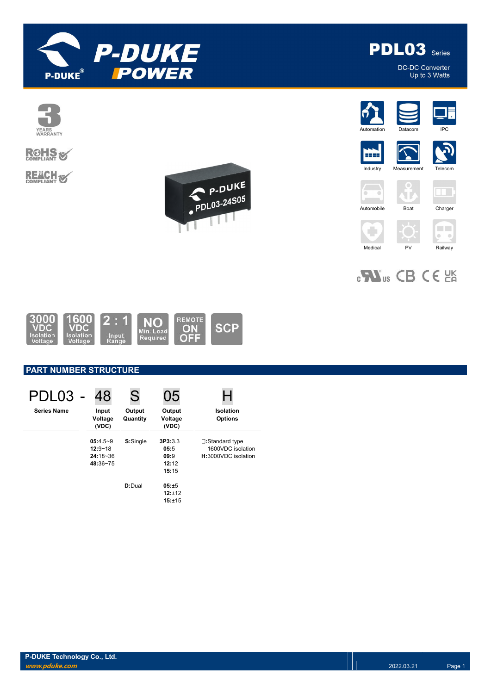



DC-DC Converter Up to 3 Watts



# **ROHS**

**REACH S** 



















## $_{c}$ Nus CB CE  $_{c}$



### PART NUMBER STRUCTURE

| PDL03 -            | 48                                                    | S                  | 05                                        |                                                             |
|--------------------|-------------------------------------------------------|--------------------|-------------------------------------------|-------------------------------------------------------------|
| <b>Series Name</b> | Input<br>Voltage<br>(VDC)                             | Output<br>Quantity | Output<br>Voltage<br>(VDC)                | <b>Isolation</b><br><b>Options</b>                          |
|                    | $05:4.5-9$<br>$12:9 - 18$<br>$24:18 - 36$<br>48:36~75 | S:Single           | 3P3:3.3<br>05:5<br>09:9<br>12:12<br>15:15 | □:Standard type<br>1600VDC isolation<br>H:3000VDC isolation |
|                    |                                                       | D:Dual             | 05:±5<br>12:±12<br>15:±15                 |                                                             |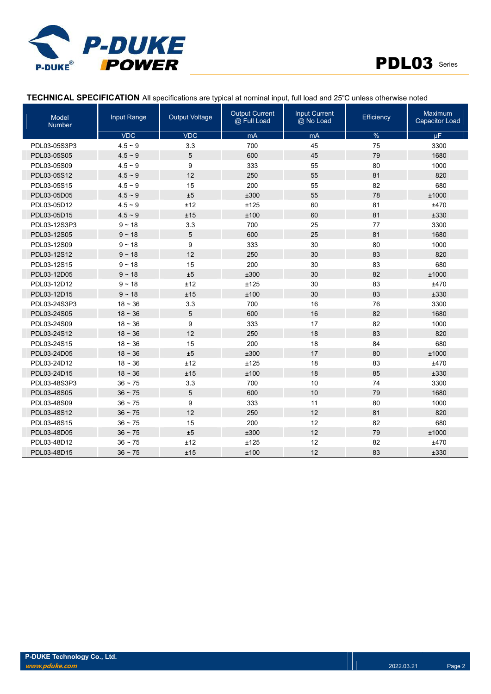



#### TECHNICAL SPECIFICATION All specifications are typical at nominal input, full load and 25℃ unless otherwise noted

| <b>Model</b><br><b>Number</b> | Input Range  | <b>Output Voltage</b> | <b>Output Current</b><br>@ Full Load | <b>Input Current</b><br>@ No Load | Efficiency | Maximum<br><b>Capacitor Load</b> |
|-------------------------------|--------------|-----------------------|--------------------------------------|-----------------------------------|------------|----------------------------------|
|                               | <b>VDC</b>   | <b>VDC</b>            | mA                                   | mA                                | $\%$       | μF                               |
| PDL03-05S3P3                  | $4.5 - 9$    | 3.3                   | 700                                  | 45                                | 75         | 3300                             |
| PDL03-05S05                   | $4.5 - 9$    | 5                     | 600                                  | 45                                | 79         | 1680                             |
| PDL03-05S09                   | $4.5 - 9$    | 9                     | 333                                  | 55                                | 80         | 1000                             |
| PDL03-05S12                   | $4.5 - 9$    | 12                    | 250                                  | 55                                | 81         | 820                              |
| PDL03-05S15                   | $4.5 - 9$    | 15                    | 200                                  | 55                                | 82         | 680                              |
| PDL03-05D05                   | $4.5 - 9$    | ±5                    | ±300                                 | 55                                | 78         | ±1000                            |
| PDL03-05D12                   | $4.5 - 9$    | ±12                   | ±125                                 | 60                                | 81         | ±470                             |
| PDL03-05D15                   | $4.5 - 9$    | ±15                   | ±100                                 | 60                                | 81         | ±330                             |
| PDL03-12S3P3                  | $9 - 18$     | 3.3                   | 700                                  | 25                                | 77         | 3300                             |
| PDL03-12S05                   | $9 - 18$     | 5                     | 600                                  | 25                                | 81         | 1680                             |
| PDL03-12S09                   | $9 - 18$     | 9                     | 333                                  | 30                                | 80         | 1000                             |
| PDL03-12S12                   | $9 - 18$     | 12                    | 250                                  | 30                                | 83         | 820                              |
| PDL03-12S15                   | $9 - 18$     | 15                    | 200                                  | 30                                | 83         | 680                              |
| PDL03-12D05                   | $9 - 18$     | ±5                    | ±300                                 | 30                                | 82         | ±1000                            |
| PDL03-12D12                   | $9 - 18$     | ±12                   | ±125                                 | 30                                | 83         | ±470                             |
| PDL03-12D15                   | $9 - 18$     | ±15                   | ±100                                 | 30                                | 83         | ±330                             |
| PDL03-24S3P3                  | $18 - 36$    | 3.3                   | 700                                  | 16                                | 76         | 3300                             |
| PDL03-24S05                   | $18 - 36$    | 5                     | 600                                  | 16                                | 82         | 1680                             |
| PDL03-24S09                   | $18 - 36$    | 9                     | 333                                  | 17                                | 82         | 1000                             |
| PDL03-24S12                   | $18 - 36$    | 12                    | 250                                  | 18                                | 83         | 820                              |
| PDL03-24S15                   | $18 - 36$    | 15                    | 200                                  | 18                                | 84         | 680                              |
| PDL03-24D05                   | $18 - 36$    | ±5                    | ±300                                 | 17                                | 80         | ±1000                            |
| PDL03-24D12                   | $18 - 36$    | ±12                   | ±125                                 | 18                                | 83         | ±470                             |
| PDL03-24D15                   | $18 - 36$    | ±15                   | ±100                                 | 18                                | 85         | ±330                             |
| PDL03-48S3P3                  | $36 - 75$    | 3.3                   | 700                                  | 10                                | 74         | 3300                             |
| PDL03-48S05                   | $36 \sim 75$ | 5                     | 600                                  | 10                                | 79         | 1680                             |
| PDL03-48S09                   | $36 - 75$    | 9                     | 333                                  | 11                                | 80         | 1000                             |
| PDL03-48S12                   | $36 - 75$    | 12                    | 250                                  | 12                                | 81         | 820                              |
| PDL03-48S15                   | $36 - 75$    | 15                    | 200                                  | 12                                | 82         | 680                              |
| PDL03-48D05                   | $36 - 75$    | $\pm 5$               | ±300                                 | 12                                | 79         | ±1000                            |
| PDL03-48D12                   | $36 - 75$    | ±12                   | ±125                                 | 12                                | 82         | ±470                             |
| PDL03-48D15                   | $36 - 75$    | ±15                   | ±100                                 | 12                                | 83         | ±330                             |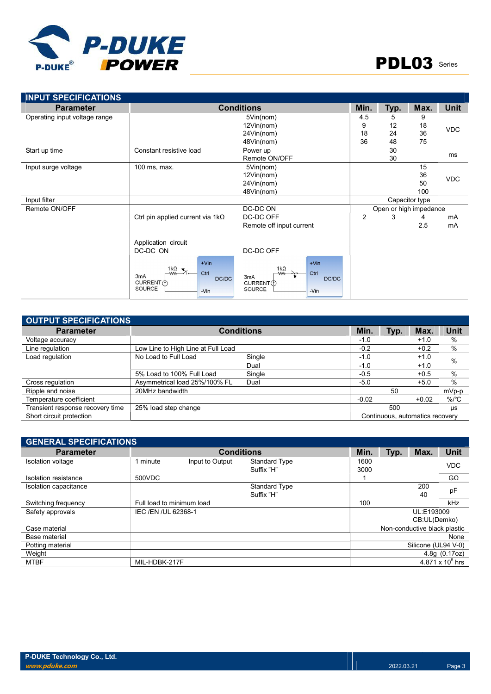

| <b>INPUT SPECIFICATIONS</b>   |                                                                                                                |                                                                                 |                |      |                        |             |
|-------------------------------|----------------------------------------------------------------------------------------------------------------|---------------------------------------------------------------------------------|----------------|------|------------------------|-------------|
| <b>Parameter</b>              |                                                                                                                | <b>Conditions</b>                                                               | Min.           | Typ. | Max.                   | <b>Unit</b> |
| Operating input voltage range |                                                                                                                | 5Vin(nom)                                                                       | 4.5            | 5    | 9                      |             |
|                               |                                                                                                                | 12Vin(nom)                                                                      | 9              | 12   | 18                     | <b>VDC</b>  |
|                               |                                                                                                                | 24Vin(nom)                                                                      | 18             | 24   | 36                     |             |
|                               |                                                                                                                | 48Vin(nom)                                                                      | 36             | 48   | 75                     |             |
| Start up time                 | Constant resistive load                                                                                        | Power up                                                                        |                | 30   |                        |             |
|                               |                                                                                                                | Remote ON/OFF                                                                   |                | 30   |                        | ms          |
| Input surge voltage           | 100 ms, max.                                                                                                   | 5Vin(nom)                                                                       |                |      | 15                     |             |
|                               |                                                                                                                | 12Vin(nom)                                                                      |                |      | 36                     | <b>VDC</b>  |
|                               |                                                                                                                | 24Vin(nom)                                                                      |                |      | 50                     |             |
|                               |                                                                                                                | 48Vin(nom)                                                                      |                |      | 100                    |             |
| Input filter                  |                                                                                                                |                                                                                 |                |      | Capacitor type         |             |
| Remote ON/OFF                 |                                                                                                                | DC-DC ON                                                                        |                |      | Open or high impedance |             |
|                               | Ctrl pin applied current via $1k\Omega$                                                                        | DC-DC OFF                                                                       | $\overline{2}$ | 3    | 4                      | mA          |
|                               |                                                                                                                | Remote off input current                                                        |                |      | 2.5                    | mA          |
|                               | Application circuit<br>DC-DC ON                                                                                | DC-DC OFF                                                                       |                |      |                        |             |
|                               | $+V$ in<br>$\frac{1k\Omega}{2}$ .<br>Ctrl<br>3 <sub>m</sub> A<br>DC/DC<br>CURRENT (1)<br><b>SOURCE</b><br>-Vin | $+V$ in<br>$1k\Omega$<br>Ctrl<br>3mA<br>DC/DC<br>CURRENT(1)<br>SOURCE<br>$-Vin$ |                |      |                        |             |

| <b>OUTPUT SPECIFICATIONS</b>     |                                    |                   |         |                                 |         |                      |
|----------------------------------|------------------------------------|-------------------|---------|---------------------------------|---------|----------------------|
| <b>Parameter</b>                 |                                    | <b>Conditions</b> | Min.    | Typ.                            | Max.    | Unit                 |
| Voltage accuracy                 |                                    |                   | $-1.0$  |                                 | $+1.0$  | %                    |
| Line regulation                  | Low Line to High Line at Full Load |                   | $-0.2$  |                                 | $+0.2$  | $\%$                 |
| Load regulation                  | No Load to Full Load               | Single            | $-1.0$  |                                 | $+1.0$  | $\%$                 |
|                                  |                                    | Dual              | $-1.0$  |                                 | $+1.0$  |                      |
|                                  | 5% Load to 100% Full Load          | Single            | $-0.5$  |                                 | $+0.5$  | $\%$                 |
| Cross regulation                 | Asymmetrical load 25%/100% FL      | Dual              | $-5.0$  |                                 | $+5.0$  | $\%$                 |
| Ripple and noise                 | 20MHz bandwidth                    |                   |         | 50                              |         | $mVp-p$              |
| Temperature coefficient          |                                    |                   | $-0.02$ |                                 | $+0.02$ | $%$ / ${}^{\circ}$ C |
| Transient response recovery time | 25% load step change               |                   |         | 500                             |         | μs                   |
| Short circuit protection         |                                    |                   |         | Continuous, automatics recovery |         |                      |

| <b>GENERAL SPECIFICATIONS</b> |                           |                   |                      |      |      |                              |                         |
|-------------------------------|---------------------------|-------------------|----------------------|------|------|------------------------------|-------------------------|
| <b>Parameter</b>              |                           | <b>Conditions</b> |                      | Min. | Typ. | Max.                         | <b>Unit</b>             |
| Isolation voltage             | 1 minute                  | Input to Output   | <b>Standard Type</b> | 1600 |      |                              | <b>VDC</b>              |
|                               |                           |                   | Suffix "H"           | 3000 |      |                              |                         |
| Isolation resistance          | 500VDC                    |                   |                      |      |      |                              | $G\Omega$               |
| Isolation capacitance         |                           |                   | <b>Standard Type</b> |      |      | 200                          |                         |
|                               |                           |                   | Suffix "H"           |      |      | 40                           | pF                      |
| Switching frequency           | Full load to minimum load |                   |                      | 100  |      |                              | kHz                     |
| Safety approvals              | IEC /EN /UL 62368-1       |                   |                      |      |      | UL:E193009                   |                         |
|                               |                           |                   |                      |      |      | CB:UL(Demko)                 |                         |
| Case material                 |                           |                   |                      |      |      | Non-conductive black plastic |                         |
| Base material                 |                           |                   |                      |      |      |                              | None                    |
| Potting material              |                           |                   |                      |      |      | Silicone (UL94 V-0)          |                         |
| Weight                        |                           |                   |                      |      |      |                              | 4.8g (0.17oz)           |
| MTBF                          | MIL-HDBK-217F             |                   |                      |      |      |                              | $4.871 \times 10^6$ hrs |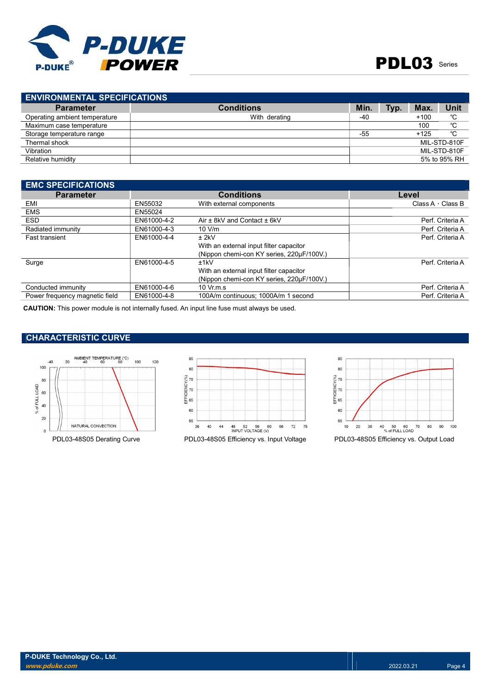

| <b>ENVIRONMENTAL SPECIFICATIONS</b> |                   |            |      |        |              |
|-------------------------------------|-------------------|------------|------|--------|--------------|
| <b>Parameter</b>                    | <b>Conditions</b> | <b>Min</b> | Typ. | Max.   | Unit         |
| Operating ambient temperature       | With derating     | -40        |      | $+100$ | °C           |
| Maximum case temperature            |                   |            |      | 100    | °C           |
| Storage temperature range           |                   | $-55$      |      | $+125$ | °C           |
| Thermal shock                       |                   |            |      |        | MIL-STD-810F |
| Vibration                           |                   |            |      |        | MIL-STD-810F |
| Relative humidity                   |                   |            |      |        | 5% to 95% RH |

| <b>Conditions</b><br><b>Parameter</b><br>Level<br>EN55032<br>Class A $\cdot$ Class B<br>EMI<br>With external components<br><b>EMS</b><br>EN55024<br>EN61000-4-2<br><b>ESD</b><br>Air $\pm$ 8kV and Contact $\pm$ 6kV<br>Perf. Criteria A<br>Perf. Criteria A<br>EN61000-4-3<br>Radiated immunity<br>10 V/m<br><b>Fast transient</b><br>EN61000-4-4<br>Perf. Criteria A<br>$±$ 2kV<br>With an external input filter capacitor<br>(Nippon chemi-con KY series, 220µF/100V.) | <b>EMC SPECIFICATIONS</b> |             |      |                  |
|---------------------------------------------------------------------------------------------------------------------------------------------------------------------------------------------------------------------------------------------------------------------------------------------------------------------------------------------------------------------------------------------------------------------------------------------------------------------------|---------------------------|-------------|------|------------------|
|                                                                                                                                                                                                                                                                                                                                                                                                                                                                           |                           |             |      |                  |
|                                                                                                                                                                                                                                                                                                                                                                                                                                                                           |                           |             |      |                  |
|                                                                                                                                                                                                                                                                                                                                                                                                                                                                           |                           |             |      |                  |
|                                                                                                                                                                                                                                                                                                                                                                                                                                                                           |                           |             |      |                  |
|                                                                                                                                                                                                                                                                                                                                                                                                                                                                           |                           |             |      |                  |
|                                                                                                                                                                                                                                                                                                                                                                                                                                                                           |                           |             |      |                  |
|                                                                                                                                                                                                                                                                                                                                                                                                                                                                           |                           |             |      |                  |
|                                                                                                                                                                                                                                                                                                                                                                                                                                                                           |                           |             |      |                  |
|                                                                                                                                                                                                                                                                                                                                                                                                                                                                           | Surge                     | EN61000-4-5 | ±1kV | Perf. Criteria A |
| With an external input filter capacitor                                                                                                                                                                                                                                                                                                                                                                                                                                   |                           |             |      |                  |
| (Nippon chemi-con KY series, 220µF/100V.)                                                                                                                                                                                                                                                                                                                                                                                                                                 |                           |             |      |                  |
| $10 \,$ Vr.m.s<br>Perf. Criteria A<br>EN61000-4-6<br>Conducted immunity                                                                                                                                                                                                                                                                                                                                                                                                   |                           |             |      |                  |
| EN61000-4-8<br>Perf. Criteria A<br>Power frequency magnetic field<br>100A/m continuous: 1000A/m 1 second                                                                                                                                                                                                                                                                                                                                                                  |                           |             |      |                  |

CAUTION: This power module is not internally fused. An input line fuse must always be used.

#### CHARACTERISTIC CURVE





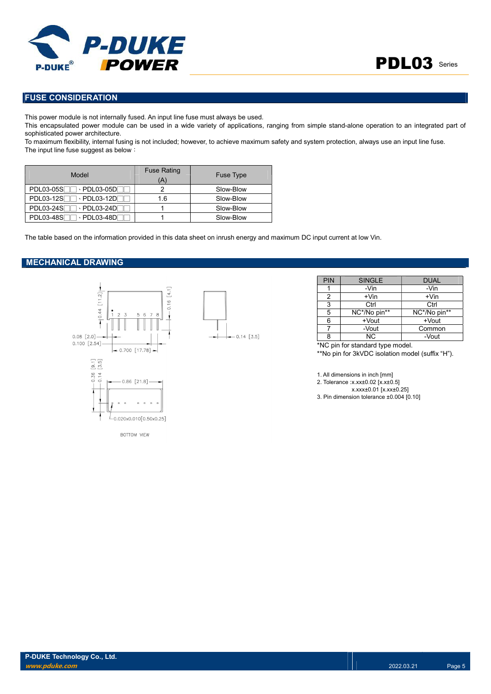

#### FUSE CONSIDERATION

This power module is not internally fused. An input line fuse must always be used.

This encapsulated power module can be used in a wide variety of applications, ranging from simple stand-alone operation to an integrated part of sophisticated power architecture.

To maximum flexibility, internal fusing is not included; however, to achieve maximum safety and system protection, always use an input line fuse. The input line fuse suggest as below:

| Model                                                   | <b>Fuse Rating</b><br>A) | Fuse Type |
|---------------------------------------------------------|--------------------------|-----------|
| <b>PDL03-05S</b><br>$\cdot$ PDL03-05D $\Box$            |                          | Slow-Blow |
| PDL03-12S <sup>T</sup><br>$\cdot$ PDL03-12D $\Box$      | 1.6                      | Slow-Blow |
| PDL03-24S<br>$\cdot$ PDL03-24D $\Box$                   |                          | Slow-Blow |
| PDL03-48S<br>$\cdot$ PDL03-48D $\overline{\phantom{a}}$ |                          | Slow-Blow |

The table based on the information provided in this data sheet on inrush energy and maximum DC input current at low Vin.

#### MECHANICAL DRAWING



| PIN | <b>SINGLE</b> | <b>DUAL</b>  |
|-----|---------------|--------------|
|     | -Vin          | -Vin         |
| 2   | $+V$ in       | $+V$ in      |
| 3   | Ctrl          | Ctrl         |
| 5   | NC*/No pin**  | NC*/No pin** |
| 6   | +Vout         | $+$ Vout     |
|     | -Vout         | Common       |
| ጸ   | ΝC            | -Vout        |

\*NC pin for standard type model. \*\*No pin for 3kVDC isolation model (suffix "H").

1. All dimensions in inch [mm]

2. Tolerance :x.xx±0.02 [x.x±0.5]

x.xxx±0.01 [x.xx±0.25]

3. Pin dimension tolerance ±0.004 [0.10]